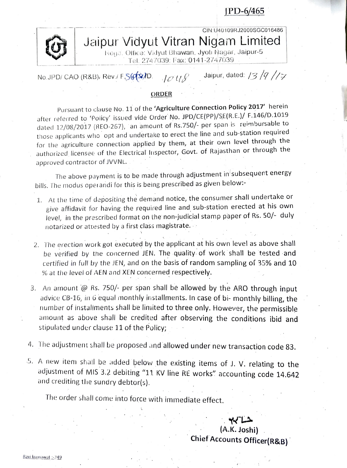PD-6/465



CIN:U40109RJ2000SGC016486

Jaipur Vidyut Vitran Nigam Limited Reya. Oilice: Vidyut Bhawan, Jyoti Nagar, Jaipur-5

Tel. 274 7039: Fax: 0141-2747039

No.JPD/ CAO (R&B), Rev./ F.S( $\frac{1}{2}$  /D  $\frac{1}{2}$  /  $\frac{1}{2}$  Jaipur, dated: /3/9//7

## ORDER

Pursuant to clause No. 11 of the 'Agriculture Connection Policy 2017' herein after referred to 'Poicy' issued vide Order No. JPD/CE(PP)/SE(R.E.)/ F.146/D.1019 dated 12/08/2017 (REO-267), an amount of Rs.750/- per span is reimbursable to those applicants wlho opt and undertake to erect the line and sub-station required for the agriculture connection applied by them, at their own level through the authorized licensee of the Electrical lnspector, Govt. of Rajasthan or through the approved contractor of JVVNL.

The above payment is to be made through adjustment in' subsequent energy bills. The modus operandi for this is being prescribed as given below:-

- 1. At the time of depositing the demand notice, the consumer shall undertake or give affidavit for having the required line and sub-station erected at his own level, in the prescribed format on the non-judicial stamp paper of Rs. 50/- duly notarized or attested by a first class magistrate.
- 2. The erection work got executed by the applicant at his own level as above shall be verified by the concerned JEN. The quality. of work shall be tested and certified in full by the JEN, and on the basis of random sampling of 35% and 10 % at the level of AEN and XEN concerned respectively.
- 3. An amount  $\omega$  Rs. 750/- per span shall be allowed by the ARO through input advice CB-16, in 6 equal monthly installments. In case of bi- monthly billing, the number of installments shall be linited to three only. However, the permissible amount as above shall be credited after observing the conditions ibid and stipulated under clause 11 of the Policy;
- 4. The adjustment shall be proposed and allowed under new transaction code 83.
- 5. A new item shall be added below the existing items of J. V. relating to the adjustment of MIS 3.2 debiting "11 KV line RE works" accounting code 14.642 and crediting the sundry debtor(s).

The order shall come into force with immediate effect.

(A.K. Joshi) Chief Accounts Officer(R&B)